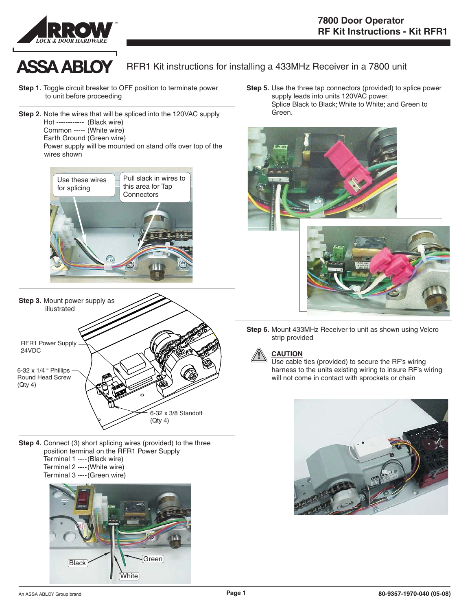



## RFR1 Kit instructions for installing a 433MHz Receiver in a 7800 unit

- **Step 1.** Toggle circuit breaker to OFF position to terminate power to unit before proceeding
- **Step 2.** Note the wires that will be spliced into the 120VAC supply Hot ------------ (Black wire) Common ----- (White wire) Earth Ground (Green wire)

Power supply will be mounted on stand offs over top of the wires shown





**Step 4.** Connect (3) short splicing wires (provided) to the three position terminal on the RFR1 Power Supply Terminal 1 ----(Black wire) Terminal 2 ----(White wire) Terminal 3 ----(Green wire)



**Step 5.** Use the three tap connectors (provided) to splice power supply leads into units 120VAC power. Splice Black to Black; White to White; and Green to . Green



**Step 6.** Mount 433MHz Receiver to unit as shown using Velcro strip provided



### **CAUTION !**

Use cable ties (provided) to secure the RF's wiring harness to the units existing wiring to insure RF's wiring will not come in contact with sprockets or chain